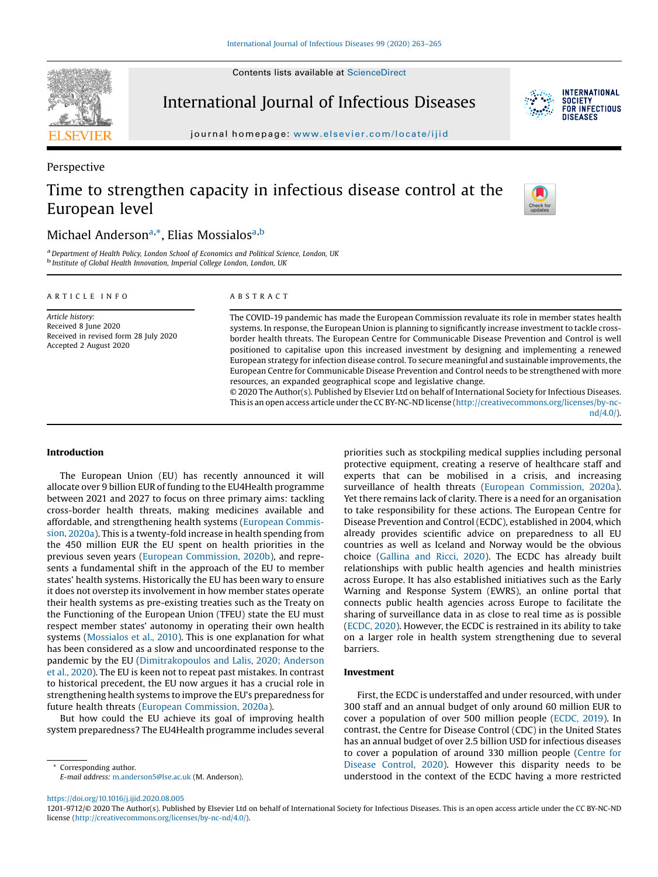Contents lists available at ScienceDirect



Perspective

# International Journal of Infectious Diseases

journal homepage: www.elsevier.com/locate/ijid

# Time to strengthen capacity in infectious disease control at the European level



**INTERNATIONAL SOCIETY** FOR INFECTIOUS DISFASES

# Michael Anderson<sup>a,\*</sup>, Elias Mossialos<sup>a,b</sup>

<sup>a</sup> Department of Health Policy, London School of Economics and Political Science, London, UK<br><sup>b</sup> Institute of Global Health Innovation, Imperial College London, London, UK

#### A R T I C L E I N F O

Article history: Received 8 June 2020 Received in revised form 28 July 2020 Accepted 2 August 2020

# A B S T R A C T

The COVID-19 pandemic has made the European Commission revaluate its role in member states health systems. In response, the European Union is planning to significantly increase investment to tackle crossborder health threats. The European Centre for Communicable Disease Prevention and Control is well positioned to capitalise upon this increased investment by designing and implementing a renewed European strategy for infection disease control. To secure meaningful and sustainable improvements, the European Centre for Communicable Disease Prevention and Control needs to be strengthened with more resources, an expanded geographical scope and legislative change.

© 2020 The Author(s). Published by Elsevier Ltd on behalf of International Society for Infectious Diseases. This is an open access article under the CC BY-NC-ND license (http://creativecommons.org/licenses/by-ncnd/4.0/).

# Introduction

The European Union (EU) has recently announced it will allocate over 9 billion EUR of funding to the EU4Health programme between 2021 and 2027 to focus on three primary aims: tackling cross-border health threats, making medicines available and affordable, and strengthening health systems (European Commission, 2020a). This is a twenty-fold increase in health spending from the 450 million EUR the EU spent on health priorities in the previous seven years (European Commission, 2020b), and represents a fundamental shift in the approach of the EU to member states' health systems. Historically the EU has been wary to ensure it does not overstep its involvement in how member states operate their health systems as pre-existing treaties such as the Treaty on the Functioning of the European Union (TFEU) state the EU must respect member states' autonomy in operating their own health systems (Mossialos et al., 2010). This is one explanation for what has been considered as a slow and uncoordinated response to the pandemic by the EU (Dimitrakopoulos and Lalis, 2020; Anderson et al., 2020). The EU is keen not to repeat past mistakes. In contrast to historical precedent, the EU now argues it has a crucial role in strengthening health systems to improve the EU's preparedness for future health threats (European Commission, 2020a).

But how could the EU achieve its goal of improving health system preparedness? The EU4Health programme includes several priorities such as stockpiling medical supplies including personal protective equipment, creating a reserve of healthcare staff and experts that can be mobilised in a crisis, and increasing surveillance of health threats (European Commission, 2020a). Yet there remains lack of clarity. There is a need for an organisation to take responsibility for these actions. The European Centre for Disease Prevention and Control (ECDC), established in 2004, which already provides scientific advice on preparedness to all EU countries as well as Iceland and Norway would be the obvious choice (Gallina and Ricci, 2020). The ECDC has already built relationships with public health agencies and health ministries across Europe. It has also established initiatives such as the Early Warning and Response System (EWRS), an online portal that connects public health agencies across Europe to facilitate the sharing of surveillance data in as close to real time as is possible (ECDC, 2020). However, the ECDC is restrained in its ability to take on a larger role in health system strengthening due to several barriers.

# Investment

First, the ECDC is understaffed and under resourced, with under 300 staff and an annual budget of only around 60 million EUR to cover a population of over 500 million people (ECDC, 2019). In contrast, the Centre for Disease Control (CDC) in the United States has an annual budget of over 2.5 billion USD for infectious diseases to cover a population of around 330 million people (Centre for Disease Control, 2020). However this disparity needs to be understood in the context of the ECDC having a more restricted

https://doi.org/10.1016/j.ijid.2020.08.005

Corresponding author. E-mail address: m.anderson5@lse.ac.uk (M. Anderson).

<sup>1201-9712/©</sup> 2020 The Author(s). Published by Elsevier Ltd on behalf of International Society for Infectious Diseases. This is an open access article under the CC BY-NC-ND license (http://creativecommons.org/licenses/by-nc-nd/4.0/).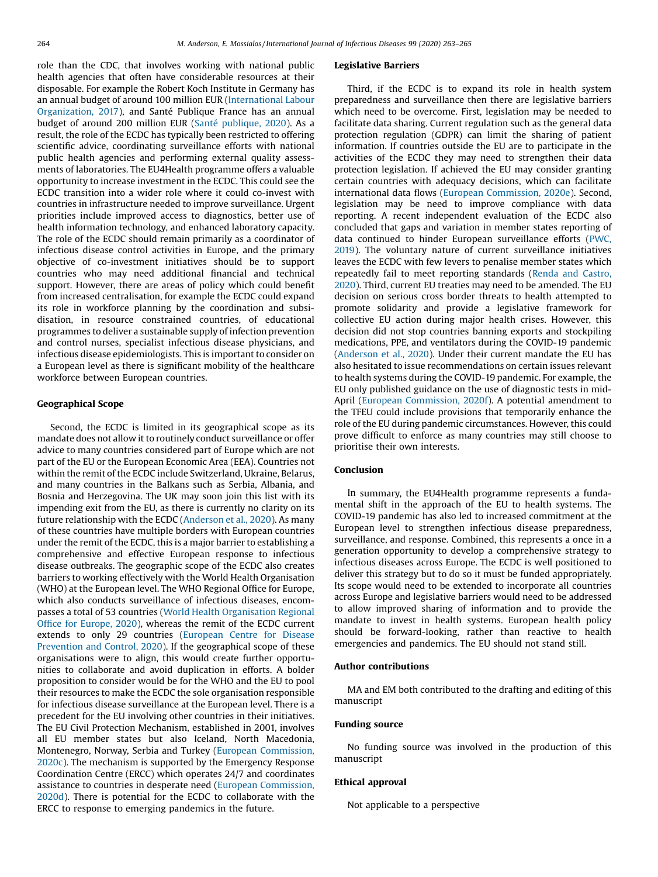role than the CDC, that involves working with national public health agencies that often have considerable resources at their disposable. For example the Robert Koch Institute in Germany has an annual budget of around 100 million EUR (International Labour Organization, 2017), and Santé Publique France has an annual budget of around 200 million EUR (Santé publique, 2020). As a result, the role of the ECDC has typically been restricted to offering scientific advice, coordinating surveillance efforts with national public health agencies and performing external quality assessments of laboratories. The EU4Health programme offers a valuable opportunity to increase investment in the ECDC. This could see the ECDC transition into a wider role where it could co-invest with countries in infrastructure needed to improve surveillance. Urgent priorities include improved access to diagnostics, better use of health information technology, and enhanced laboratory capacity. The role of the ECDC should remain primarily as a coordinator of infectious disease control activities in Europe, and the primary objective of co-investment initiatives should be to support countries who may need additional financial and technical support. However, there are areas of policy which could benefit from increased centralisation, for example the ECDC could expand its role in workforce planning by the coordination and subsidisation, in resource constrained countries, of educational programmes to deliver a sustainable supply of infection prevention and control nurses, specialist infectious disease physicians, and infectious disease epidemiologists. This is important to consider on a European level as there is significant mobility of the healthcare workforce between European countries.

# Geographical Scope

Second, the ECDC is limited in its geographical scope as its mandate does not allow it to routinely conduct surveillance or offer advice to many countries considered part of Europe which are not part of the EU or the European Economic Area (EEA). Countries not within the remit of the ECDC include Switzerland, Ukraine, Belarus, and many countries in the Balkans such as Serbia, Albania, and Bosnia and Herzegovina. The UK may soon join this list with its impending exit from the EU, as there is currently no clarity on its future relationship with the ECDC (Anderson et al., 2020). As many of these countries have multiple borders with European countries under the remit of the ECDC, this is a major barrier to establishing a comprehensive and effective European response to infectious disease outbreaks. The geographic scope of the ECDC also creates barriers to working effectively with the World Health Organisation (WHO) at the European level. The WHO Regional Office for Europe, which also conducts surveillance of infectious diseases, encompasses a total of 53 countries (World Health Organisation Regional Office for Europe, 2020), whereas the remit of the ECDC current extends to only 29 countries (European Centre for Disease Prevention and Control, 2020). If the geographical scope of these organisations were to align, this would create further opportunities to collaborate and avoid duplication in efforts. A bolder proposition to consider would be for the WHO and the EU to pool their resources to make the ECDC the sole organisation responsible for infectious disease surveillance at the European level. There is a precedent for the EU involving other countries in their initiatives. The EU Civil Protection Mechanism, established in 2001, involves all EU member states but also Iceland, North Macedonia, Montenegro, Norway, Serbia and Turkey (European Commission, 2020c). The mechanism is supported by the Emergency Response Coordination Centre (ERCC) which operates 24/7 and coordinates assistance to countries in desperate need (European Commission, 2020d). There is potential for the ECDC to collaborate with the ERCC to response to emerging pandemics in the future.

#### Legislative Barriers

Third, if the ECDC is to expand its role in health system preparedness and surveillance then there are legislative barriers which need to be overcome. First, legislation may be needed to facilitate data sharing. Current regulation such as the general data protection regulation (GDPR) can limit the sharing of patient information. If countries outside the EU are to participate in the activities of the ECDC they may need to strengthen their data protection legislation. If achieved the EU may consider granting certain countries with adequacy decisions, which can facilitate international data flows (European Commission, 2020e). Second, legislation may be need to improve compliance with data reporting. A recent independent evaluation of the ECDC also concluded that gaps and variation in member states reporting of data continued to hinder European surveillance efforts (PWC, 2019). The voluntary nature of current surveillance initiatives leaves the ECDC with few levers to penalise member states which repeatedly fail to meet reporting standards (Renda and Castro, 2020). Third, current EU treaties may need to be amended. The EU decision on serious cross border threats to health attempted to promote solidarity and provide a legislative framework for collective EU action during major health crises. However, this decision did not stop countries banning exports and stockpiling medications, PPE, and ventilators during the COVID-19 pandemic (Anderson et al., 2020). Under their current mandate the EU has also hesitated to issue recommendations on certain issues relevant to health systems during the COVID-19 pandemic. For example, the EU only published guidance on the use of diagnostic tests in mid-April (European Commission, 2020f). A potential amendment to the TFEU could include provisions that temporarily enhance the role of the EU during pandemic circumstances. However, this could prove difficult to enforce as many countries may still choose to prioritise their own interests.

## Conclusion

In summary, the EU4Health programme represents a fundamental shift in the approach of the EU to health systems. The COVID-19 pandemic has also led to increased commitment at the European level to strengthen infectious disease preparedness, surveillance, and response. Combined, this represents a once in a generation opportunity to develop a comprehensive strategy to infectious diseases across Europe. The ECDC is well positioned to deliver this strategy but to do so it must be funded appropriately. Its scope would need to be extended to incorporate all countries across Europe and legislative barriers would need to be addressed to allow improved sharing of information and to provide the mandate to invest in health systems. European health policy should be forward-looking, rather than reactive to health emergencies and pandemics. The EU should not stand still.

# Author contributions

MA and EM both contributed to the drafting and editing of this manuscript

# Funding source

No funding source was involved in the production of this manuscript

## Ethical approval

Not applicable to a perspective